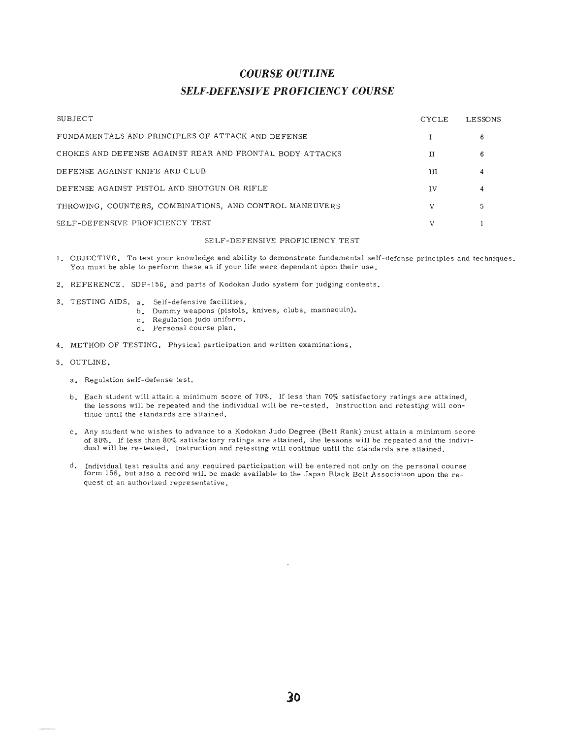## *COURSE OUTLINE SELF·DEFENSIVE PROFICIENCY COURSE*

| SUBJECT                                                  | <b>CYCLE</b> | LESSONS |
|----------------------------------------------------------|--------------|---------|
| FUNDAMENTALS AND PRINCIPLES OF ATTACK AND DEFENSE        |              | 6       |
| CHOKES AND DEFENSE AGAINST REAR AND FRONTAL BODY ATTACKS | H            | 6       |
| DEFENSE AGAINST KNIFE AND CLUB                           | Ħ            | 4       |
| DEFENSE AGAINST PISTOL AND SHOTGUN OR RIFLE              | IV           |         |
| THROWING, COUNTERS, COMBINATIONS, AND CONTROL MANEUVERS  |              |         |
| SELF-DEFENSIVE PROFICIENCY TEST                          |              |         |

#### SELF-DEFENSIVE PROFICIENCY TEST

- 1. OBJECTIVE. To test your knowledge and ability to demonstrate fundamental self-defense principles and techniques. You must be able to perform these as if your life were dependant upon their use.
- 2. REFERENCE. SDP-156, and parts of Kodokan Judo system for judging contests.
- 3. TESTING AIDS. a. Self-defensive facilities.
	- b. Dummy weapons (pistols, knives, clubs, mannequin).
	- c. Regulation judo uniform.
	- d. Personal course plan.
- 4. METHOD OF TESTING. Physical participation and written examinations.
- 5. OUTLINE.
	- a. Regulation self-defense test.
	- b. Each student will attain a minimum score of 70%. If less than 70% satisfactory ratings are attained, the lessons will be repeated and the individual will be re-tested. Instruction and retesting will continue until the standards are attained.
	- c. Any student who wishes to advance to a Kodokan Judo Degree (Belt Rank) must attain a minimum score of 80%. If less than 80% satisfactory ratings are attained, the lessons will be repeated and the individual will be re-tested. Instruction and retesting will continue until the standards are attained.
	- d. Individual test results and any required participation will be entered not only on the personal course form 156, but also a record will be made available to the Japan Black Belt Association upon the request of an authorized representative.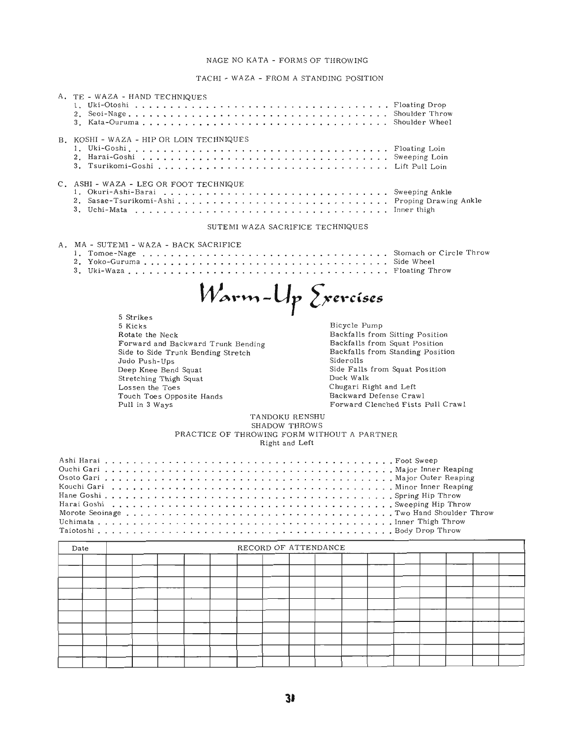### NAGE NO KATA - FORMS OF THROWING

TACH! - WAZA - FROM A STANDING POSITION

|                                                                                        | A. TE - WAZA - HAND TECHNIQUES                                                                                                                                                                                                                                                                                                                                                                                                                                                                                                                                                                                                                                         |  |  |  |  |  |  |                                  |  |  |  |  |  |  |
|----------------------------------------------------------------------------------------|------------------------------------------------------------------------------------------------------------------------------------------------------------------------------------------------------------------------------------------------------------------------------------------------------------------------------------------------------------------------------------------------------------------------------------------------------------------------------------------------------------------------------------------------------------------------------------------------------------------------------------------------------------------------|--|--|--|--|--|--|----------------------------------|--|--|--|--|--|--|
|                                                                                        | B. KOSHI - WAZA - HIP OR LOIN TECHNIQUES                                                                                                                                                                                                                                                                                                                                                                                                                                                                                                                                                                                                                               |  |  |  |  |  |  |                                  |  |  |  |  |  |  |
| C. ASHI - WAZA - LEG OR FOOT TECHNIQUE<br>2. Sasae-Tsurikomi-AshiProping Drawing Ankle |                                                                                                                                                                                                                                                                                                                                                                                                                                                                                                                                                                                                                                                                        |  |  |  |  |  |  |                                  |  |  |  |  |  |  |
|                                                                                        |                                                                                                                                                                                                                                                                                                                                                                                                                                                                                                                                                                                                                                                                        |  |  |  |  |  |  | SUTEMI WAZA SACRIFICE TECHNIQUES |  |  |  |  |  |  |
|                                                                                        | A. MA - SUTEMI - WAZA - BACK SACRIFICE                                                                                                                                                                                                                                                                                                                                                                                                                                                                                                                                                                                                                                 |  |  |  |  |  |  |                                  |  |  |  |  |  |  |
|                                                                                        | <i>W</i> arm-Up Exercíses<br>5 Strikes<br>Bicycle Pump<br>5 Kicks<br>Backfalls from Sitting Position<br>Rotate the Neck<br>Backfalls from Squat Position<br>Forward and Backward Trunk Bending<br>Backfalls from Standing Position<br>Side to Side Trunk Bending Stretch<br>Siderolls<br>Judo Push-Ups<br>Side Falls from Squat Position<br>Deep Knee Bend Squat<br>Duck Walk<br>Stretching Thigh Squat<br>Chugari Right and Left<br>Lossen the Toes<br>Backward Defense Crawl<br>Touch Toes Opposite Hands<br>Forward Clenched Fists Pull Crawl<br>Pull in 3 Ways<br>TANDOKU RENSHU<br>SHADOW THROWS<br>PRACTICE OF THROWING FORM WITHOUT A PARTNER<br>Right and Left |  |  |  |  |  |  |                                  |  |  |  |  |  |  |
|                                                                                        | Date                                                                                                                                                                                                                                                                                                                                                                                                                                                                                                                                                                                                                                                                   |  |  |  |  |  |  | RECORD OF ATTENDANCE             |  |  |  |  |  |  |
|                                                                                        |                                                                                                                                                                                                                                                                                                                                                                                                                                                                                                                                                                                                                                                                        |  |  |  |  |  |  |                                  |  |  |  |  |  |  |
|                                                                                        |                                                                                                                                                                                                                                                                                                                                                                                                                                                                                                                                                                                                                                                                        |  |  |  |  |  |  |                                  |  |  |  |  |  |  |
|                                                                                        |                                                                                                                                                                                                                                                                                                                                                                                                                                                                                                                                                                                                                                                                        |  |  |  |  |  |  |                                  |  |  |  |  |  |  |
|                                                                                        |                                                                                                                                                                                                                                                                                                                                                                                                                                                                                                                                                                                                                                                                        |  |  |  |  |  |  |                                  |  |  |  |  |  |  |
|                                                                                        |                                                                                                                                                                                                                                                                                                                                                                                                                                                                                                                                                                                                                                                                        |  |  |  |  |  |  |                                  |  |  |  |  |  |  |
|                                                                                        |                                                                                                                                                                                                                                                                                                                                                                                                                                                                                                                                                                                                                                                                        |  |  |  |  |  |  |                                  |  |  |  |  |  |  |
|                                                                                        |                                                                                                                                                                                                                                                                                                                                                                                                                                                                                                                                                                                                                                                                        |  |  |  |  |  |  |                                  |  |  |  |  |  |  |
|                                                                                        |                                                                                                                                                                                                                                                                                                                                                                                                                                                                                                                                                                                                                                                                        |  |  |  |  |  |  |                                  |  |  |  |  |  |  |
|                                                                                        |                                                                                                                                                                                                                                                                                                                                                                                                                                                                                                                                                                                                                                                                        |  |  |  |  |  |  |                                  |  |  |  |  |  |  |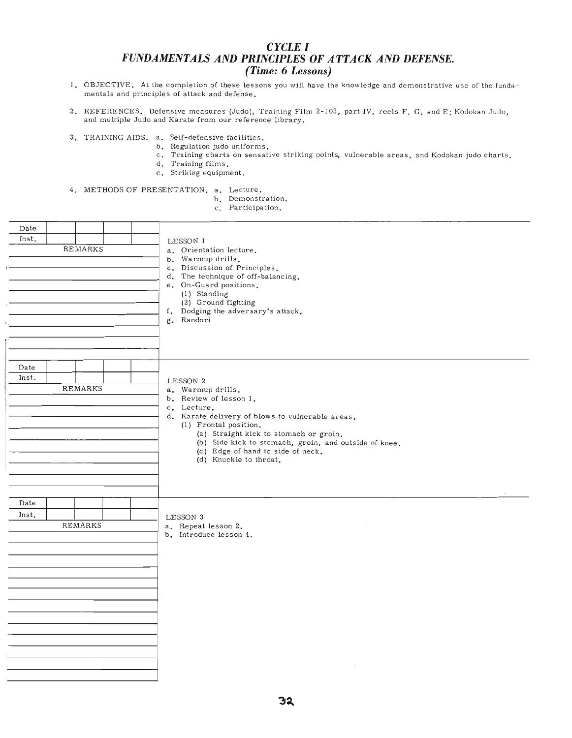### *CYCLE* **I** *FUNDAMENTALS AND PRINCIPLES OF ATTACK AND DEFENSE. (Time:* **6** *Lessons)*

- I. OBJECTIVE. At the completion of these lessons you will have the knowledge and demonstrative use of the fundamentals and principles of attack and defense.
- 2. REFERENCES. Defensive measures (Judo), Training Film 2-103, part IV, reels F, G, and E; Kodokan Judo, and multiple Judo and Karate from our reference library.
- 3. TRAINING AIDS. a. Self-defensive facilities.
	- b. Regulation judo uniforms.
		- c. Training charts on sensative striking points, vulnerable areas, and Kodokan judo charts.
		- d. Training films.
		- e. Striking equipment.

4. METHODS OF PRESENTATION. a. Lecture.

- b. Demonstration.
- c. Participation.

| Date  |                |  |                                                                                            |
|-------|----------------|--|--------------------------------------------------------------------------------------------|
| Inst. | REMARKS        |  | LESSON 1                                                                                   |
|       |                |  | a. Orientation lecture.<br>b. Warmup drills.                                               |
|       |                |  | c. Discussion of Principles.                                                               |
|       |                |  | d. The technique of off-balancing.<br>e. On-Guard positions.                               |
|       |                |  | (1) Standing                                                                               |
|       |                |  | (2) Ground fighting<br>f. Dodging the adversary's attack.                                  |
|       |                |  | g. Randori                                                                                 |
|       |                |  |                                                                                            |
|       |                |  |                                                                                            |
|       |                |  |                                                                                            |
| Date  |                |  |                                                                                            |
| Inst. | <b>REMARKS</b> |  | LESSON 2                                                                                   |
|       |                |  | a. Warmup drills.<br>b. Review of lesson 1.                                                |
|       |                |  | c. Lecture.                                                                                |
|       |                |  | d. Karate delivery of blows to vulnerable areas.<br>(1) Frontal position.                  |
|       |                |  | (a) Straight kick to stomach or groin.                                                     |
|       |                |  | (b) Side kick to stomach, groin, and outside of knee.<br>(c) Edge of hand to side of neck. |
|       |                |  | (d) Knuckle to throat.                                                                     |
|       |                |  |                                                                                            |
|       |                |  |                                                                                            |
| Date  |                |  |                                                                                            |
| Inst. |                |  | LESSON 3                                                                                   |
|       | REMARKS        |  | a. Repeat lesson 2.                                                                        |
|       |                |  | b. Introduce lesson 4.                                                                     |
|       |                |  |                                                                                            |
|       |                |  |                                                                                            |
|       |                |  |                                                                                            |
|       |                |  |                                                                                            |
|       |                |  |                                                                                            |
|       |                |  |                                                                                            |
|       |                |  |                                                                                            |
|       |                |  |                                                                                            |
|       |                |  |                                                                                            |
|       |                |  |                                                                                            |
|       |                |  |                                                                                            |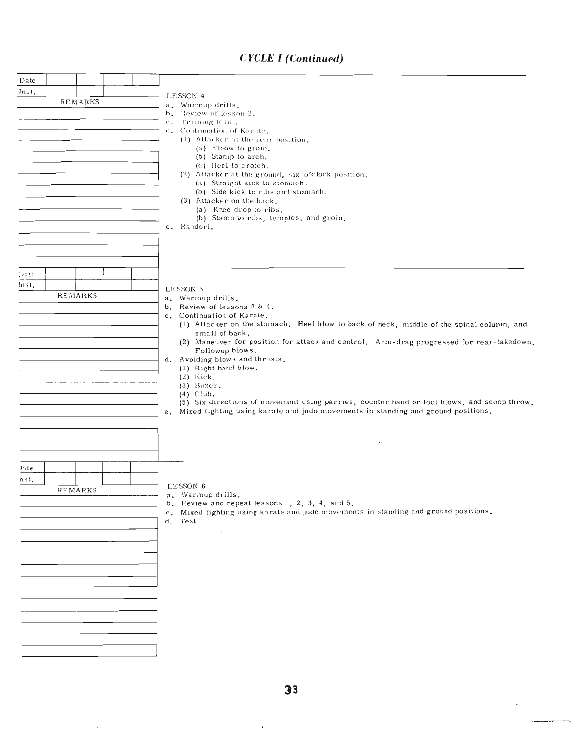# **CYCLE 1 (Continued)**

| Date<br>Inst.<br><b>REMARKS</b> | LESSON 4<br>a. Warmup drills.<br>b. Review of lesson 2.<br>c. Training Film.<br>d. Continuation of Karate,<br>(1) Attacker at the rear position.<br>(a) Elbow to groin.<br>(b) Stamp to arch.<br>(c) Heel to crotch.<br>(2) Attacker at the ground, six-o'clock position.<br>(a) Straight kick to stomach.<br>(b) Side kick to ribs and stomach.<br>(3) Attacker on the back.<br>(a) Knee drop to ribs.<br>(b) Stamp to ribs, temples, and groin.<br>e. Randori.                                                                                                                                                     |
|---------------------------------|----------------------------------------------------------------------------------------------------------------------------------------------------------------------------------------------------------------------------------------------------------------------------------------------------------------------------------------------------------------------------------------------------------------------------------------------------------------------------------------------------------------------------------------------------------------------------------------------------------------------|
| ivate.<br>Inst.<br>REMARKS      | LESSON 5<br>a. Warmup drills.<br>b. Review of lessons 3 & 4.<br>c. Continuation of Karate.<br>(1) Attacker on the stomach. Heel blow to back of neck, middle of the spinal column, and<br>small of back.<br>(2) Maneuver for position for attack and control. Arm-drag progressed for rear-takedown.<br>Followup blows.<br>d. Avoiding blows and thrusts.<br>(1) Right hand blow.<br>$(2)$ Kick.<br>$(3)$ Boxer.<br>$(4)$ Club.<br>(5) Six directions of movement using parries, counter hand or foot blows, and scoop throw.<br>e. Mixed fighting using karate and judo movements in standing and ground positions. |
| )ate<br>nst.<br>REMARKS         | LESSON 6<br>a. Warmup drills.<br>b. Review and repeat lessons 1, 2, 3, 4, and 5.<br>c. Mixed fighting using karate and judo movements in standing and ground positions.<br>d. Test.<br>$\sim$                                                                                                                                                                                                                                                                                                                                                                                                                        |

 $\ddot{\phantom{a}}$ 

 $\bar{z}$ 

 $\overline{\phantom{a}}$ 

÷.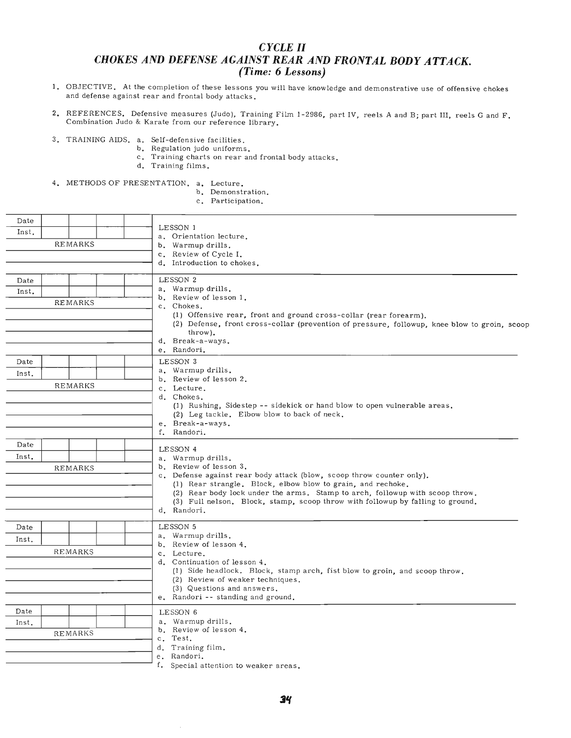### *CYCLE* **II** *CHOKES AND DEFENSE AGAINST REAR AND FRONTAL BODY ATTACK. (Time:* **6** *Lessons)*

- 1. OBJECTIVE. At the completion of these lessons you will have knowledge and demonstrative use of offensive chokes and defense against rear and frontal body attacks.
- 2. REFERENCES. Defensive measures (Judo), Training Film 1-2986, part IV, reels A and B; part III, reels G and F. Combination Judo & Karate from our reference library.
- 3. TRAINING AIDS. a. Self-defensive facilities.
	- b. Regulation judo uniforms.
		- c. Training charts on rear and frontal body attacks.
		- d. Training films.
- 4. METHODS OF PRESENTATION. a. Lecture.
	- b. Demonstration.
	- c. Participation.

| Date  |                |                                                                                                                                      |
|-------|----------------|--------------------------------------------------------------------------------------------------------------------------------------|
| Inst. |                | LESSON 1<br>a. Orientation lecture.                                                                                                  |
|       | <b>REMARKS</b> | b. Warmup drills.                                                                                                                    |
|       |                | c. Review of Cycle I.                                                                                                                |
|       |                | d. Introduction to chokes.                                                                                                           |
| Date  |                | LESSON 2                                                                                                                             |
| Inst. |                | a. Warmup drills.                                                                                                                    |
|       | <b>REMARKS</b> | b. Review of lesson 1.                                                                                                               |
|       |                | c. Chokes.<br>(1) Offensive rear, front and ground cross-collar (rear forearm).                                                      |
|       |                | (2) Defense, front cross-collar (prevention of pressure, followup, knee blow to groin, scoop                                         |
|       |                | throw).                                                                                                                              |
|       |                | d. Break-a-ways.                                                                                                                     |
|       |                | e. Randori.                                                                                                                          |
| Date  |                | LESSON 3<br>a. Warmup drills.                                                                                                        |
| Inst. |                | b. Review of lesson 2.                                                                                                               |
|       | <b>REMARKS</b> | c. Lecture.                                                                                                                          |
|       |                | d. Chokes.                                                                                                                           |
|       |                | (1) Rushing, Sidestep -- sidekick or hand blow to open vulnerable areas.<br>(2) Leg tackle. Elbow blow to back of neck.              |
|       |                | e. Break-a-ways.                                                                                                                     |
|       |                | f. Randori.                                                                                                                          |
| Date  |                | LESSON 4                                                                                                                             |
| Inst. |                | a. Warmup drills.                                                                                                                    |
|       | <b>REMARKS</b> | b. Review of lesson 3.                                                                                                               |
|       |                | c. Defense against rear body attack (blow, scoop throw counter only).<br>(1) Rear strangle. Block, elbow blow to grain, and rechoke. |
|       |                | (2) Rear body lock under the arms. Stamp to arch, followup with scoop throw.                                                         |
|       |                | (3) Full nelson. Block, stamp, scoop throw with followup by falling to ground.                                                       |
|       |                | d. Randori.                                                                                                                          |
| Date  |                | LESSON 5                                                                                                                             |
| Inst. |                | a. Warmup drills.                                                                                                                    |
|       | <b>REMARKS</b> | b. Review of lesson 4.                                                                                                               |
|       |                | c. Lecture.<br>d. Continuation of lesson 4.                                                                                          |
|       |                | (1) Side headlock. Block, stamp arch, fist blow to groin, and scoop throw.                                                           |
|       |                | (2) Review of weaker techniques.                                                                                                     |
|       |                | (3) Questions and answers.                                                                                                           |
|       |                | e. Randori -- standing and ground.                                                                                                   |
| Date  |                | LESSON 6                                                                                                                             |
| Inst. |                | a. Warmup drills.<br>b. Review of lesson 4.                                                                                          |
|       | <b>REMARKS</b> | c. Test.                                                                                                                             |
|       |                | d. Training film.                                                                                                                    |
|       |                | e. Randori.                                                                                                                          |
|       |                | f. Special attention to weaker areas.                                                                                                |

 $\bar{\gamma}$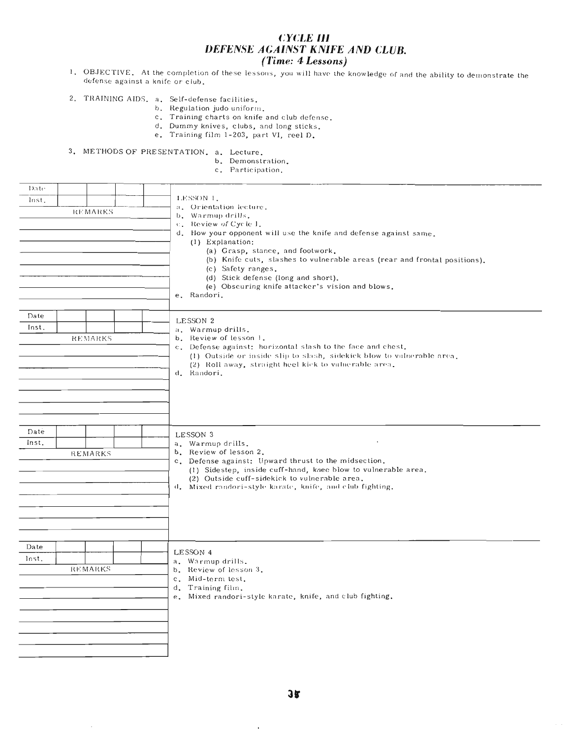### **CYCLE III** DEFENSE AGAINST KNIFE AND CLUB. (Time: 4 Lessons)

- 1. OBJECTIVE. At the completion of these lessons, you will have the knowledge of and the ability to demonstrate the defense against a knife or club.
- 2. TRAINING AIDS. a. Self-defense facilities.<br>b. Regulation judo uniform.
	-
	- c. Training charts on knife and club defense.
	- d. Dummy knives, clubs, and long sticks.
	- e. Training film 1-203, part VI, reel D.

3. METHODS OF PRESENTATION. a. Lecture.

- b. Demonstration.
- c. Participation.

| Date<br>lnst.<br><b>REMARKS</b> | LESSON 1.<br>a. Orientation lecture.<br>b. Warmup drills.<br>c. Review of Cycle 1.<br>d. How your opponent will use the knife and defense against same.<br>(1) Explanation:<br>(a) Grasp, stance, and footwork.<br>(b) Knife cuts, slashes to vulnerable areas (rear and frontal positions).<br>(c) Safety ranges.<br>(d) Stick defense (long and short). |
|---------------------------------|-----------------------------------------------------------------------------------------------------------------------------------------------------------------------------------------------------------------------------------------------------------------------------------------------------------------------------------------------------------|
| Date<br>Inst.<br>REMARKS        | (e) Obscuring knife attacker's vision and blows.<br>e. Randori.<br>LESSON 2<br>a. Warmup drills.<br>b. Review of lesson 1.<br>c. Defense against: horizontal slash to the face and chest.<br>(1) Outside or inside slip to slash, sidekick blow to vulnerable area.<br>(2) Roll away, straight heel kick to vulnerable area.<br>d. Randori.               |
| Date<br>Inst.<br><b>REMARKS</b> | LESSON 3<br>$\cdot$<br>a. Warmup drills.<br>b. Review of lesson 2.<br>c. Defense against: Upward thrust to the midsection.<br>(1) Sidestep, inside cuff-hand, knee blow to vulnerable area.<br>(2) Outside cuff-sidekick to vulnerable area.<br>d. Mixed randori-style karate, knife, and club fighting.                                                  |
| Date<br>Inst.<br><b>REMARKS</b> | LESSON 4<br>a. Warmup drills.<br>b. Review of lesson 3.<br>c. Mid-term test.<br>d. Training film.<br>e. Mixed randori-style karate, knife, and club fighting.                                                                                                                                                                                             |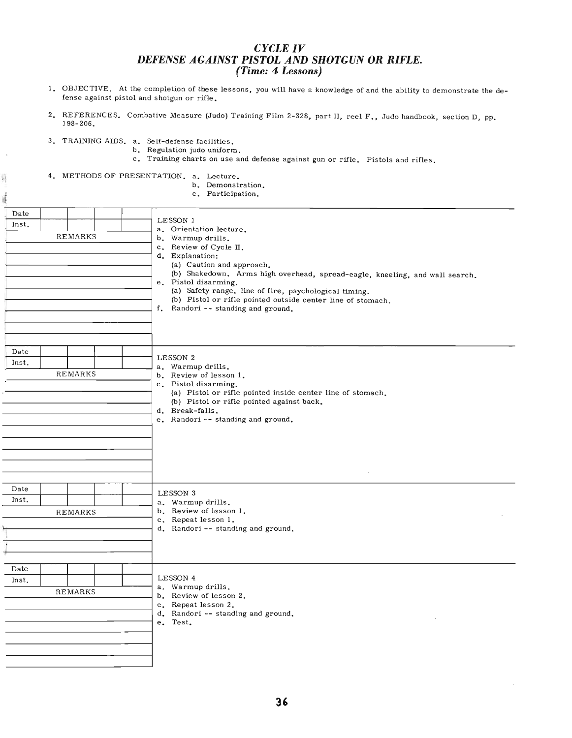### *CYCLE IV DEFENSE AGAINST PISTOL AND SHOTGUN OR RIFLE. (Time:* **4** *Lessons)*

- 1. OBJECTIVE. At the completion of these lessons, you will have a knowledge of and the ability to demonstrate the defense against pistol and shotgun or rifle.
- 2. REFERENCES. Combative Measure (Judo) Training Film 2-328, part II, reel F., Judo handbook, section D, pp. 198-206.
- 3. TRAINING AIDS. a. Self-defense facilities.
	- b. Regulation judo uniform.
	- c. Training charts on use and defense against gun or rifle. Pistols and rifles.

4. METHODS OF PRESENTATION. a. Lecture.

蒋

- b. Demonstration.
	- c. Participation.

|                                 | c. Participation.                                                                                                                                                                                                                                                                                                                                                                                       |
|---------------------------------|---------------------------------------------------------------------------------------------------------------------------------------------------------------------------------------------------------------------------------------------------------------------------------------------------------------------------------------------------------------------------------------------------------|
| Date<br>Inst.<br><b>REMARKS</b> | LESSON 1<br>a. Orientation lecture.<br>b. Warmup drills.<br>c. Review of Cycle II.<br>d. Explanation:<br>(a) Caution and approach.<br>(b) Shakedown. Arms high overhead, spread-eagle, kneeling, and wall search.<br>e. Pistol disarming.<br>(a) Safety range, line of fire, psychological timing.<br>(b) Pistol or rifle pointed outside center line of stomach.<br>f. Randori -- standing and ground. |
| Date<br>Inst.<br><b>REMARKS</b> | LESSON 2<br>a. Warmup drills.<br>b. Review of lesson 1.<br>c. Pistol disarming.<br>(a) Pistol or rifle pointed inside center line of stomach.<br>(b) Pistol or rifle pointed against back.<br>d. Break-falls.<br>e. Randori -- standing and ground.                                                                                                                                                     |
| Date<br>Inst.<br><b>REMARKS</b> | LESSON 3<br>a. Warmup drills.<br>b. Review of lesson 1.<br>c. Repeat lesson 1.<br>d. Randori -- standing and ground.                                                                                                                                                                                                                                                                                    |
| Date<br>Inst.<br><b>REMARKS</b> | LESSON 4<br>a. Warmup drills.<br>b. Review of lesson 2.<br>c. Repeat lesson 2.<br>d. Randori -- standing and ground.<br>e. Test.                                                                                                                                                                                                                                                                        |